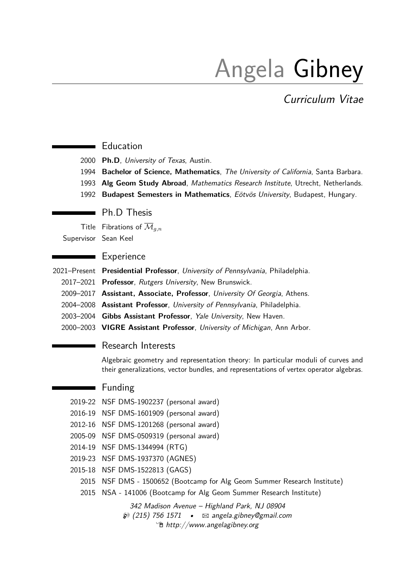# Angela Gibney

Curriculum Vitae

#### Education

2000 **Ph.D**, University of Texas, Austin.

- 1994 **Bachelor of Science, Mathematics**, The University of California, Santa Barbara.
- 1993 **Alg Geom Study Abroad**, Mathematics Research Institute, Utrecht, Netherlands.
- 1992 **Budapest Semesters in Mathematics**, Eötvös University, Budapest, Hungary.

### **Ph.D.** Thesis

Title Fibrations of  $\overline{\mathcal{M}}_{q,n}$ 

Supervisor Sean Keel

### **Experience**

- 2021–Present **Presidential Professor**, University of Pennsylvania, Philadelphia.
	- 2017–2021 **Professor**, Rutgers University, New Brunswick.
	- 2009–2017 **Assistant, Associate, Professor**, University Of Georgia, Athens.
	- 2004–2008 **Assistant Professor**, University of Pennsylvania, Philadelphia.
	- 2003–2004 **Gibbs Assistant Professor**, Yale University, New Haven.
	- 2000–2003 **VIGRE Assistant Professor**, University of Michigan, Ann Arbor.

#### Research Interests

Algebraic geometry and representation theory: In particular moduli of curves and their generalizations, vector bundles, and representations of vertex operator algebras.

# **Funding**

- 2019-22 NSF DMS-1902237 (personal award)
- 2016-19 NSF DMS-1601909 (personal award)
- 2012-16 NSF DMS-1201268 (personal award)
- 2005-09 NSF DMS-0509319 (personal award)
- 2014-19 NSF DMS-1344994 (RTG)
- 2019-23 NSF DMS-1937370 (AGNES)
- 2015-18 NSF DMS-1522813 (GAGS)
	- 2015 NSF DMS 1500652 (Bootcamp for Alg Geom Summer Research Institute)
	- 2015 NSA 141006 (Bootcamp for Alg Geom Summer Research Institute)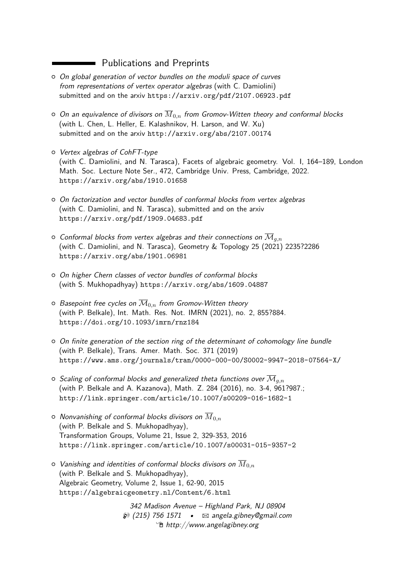# **Exercise Expanditure Publications and Preprints**

- o On global generation of vector bundles on the moduli space of curves from representations of vertex operator algebras (with C. Damiolini) submitted and on the arxiv <https://arxiv.org/pdf/2107.06923.pdf>
- $\circ$  On an equivalence of divisors on  $\overline{M}_{0,n}$  from Gromov-Witten theory and conformal blocks (with L. Chen, L. Heller, E. Kalashnikov, H. Larson, and W. Xu) submitted and on the arxiv <http://arxiv.org/abs/2107.00174>
- { Vertex algebras of CohFT-type (with C. Damiolini, and N. Tarasca), Facets of algebraic geometry. Vol. I, 164–189, London Math. Soc. Lecture Note Ser., 472, Cambridge Univ. Press, Cambridge, 2022. <https://arxiv.org/abs/1910.01658>
- { On factorization and vector bundles of conformal blocks from vertex algebras (with C. Damiolini, and N. Tarasca), submitted and on the arxiv <https://arxiv.org/pdf/1909.04683.pdf>
- $\circ$  Conformal blocks from vertex algebras and their connections on  $\overline{\mathcal M}_{g,n}$ (with C. Damiolini, and N. Tarasca), Geometry & Topology 25 (2021) 2235?2286 <https://arxiv.org/abs/1901.06981>
- o On higher Chern classes of vector bundles of conformal blocks (with S. Mukhopadhyay) <https://arxiv.org/abs/1609.04887>
- $\circ$  Basepoint free cycles on  $\overline{\mathcal{M}}_{0,n}$  from Gromov-Witten theory (with P. Belkale), Int. Math. Res. Not. IMRN (2021), no. 2, 855?884. <https://doi.org/10.1093/imrn/rnz184>
- $\circ$  On finite generation of the section ring of the determinant of cohomology line bundle (with P. Belkale), Trans. Amer. Math. Soc. 371 (2019) <https://www.ams.org/journals/tran/0000-000-00/S0002-9947-2018-07564-X/>
- $\circ$  Scaling of conformal blocks and generalized theta functions over  $\overline{\mathcal{M}}_{g,n}$ (with P. Belkale and A. Kazanova), Math. Z. 284 (2016), no. 3-4, 961?987.; <http://link.springer.com/article/10.1007/s00209-016-1682-1>
- $\circ$  *Nonvanishing of conformal blocks divisors on*  $\overline{M}_{0,n}$ (with P. Belkale and S. Mukhopadhyay), Transformation Groups, Volume 21, Issue 2, 329-353, 2016 <https://link.springer.com/article/10.1007/s00031-015-9357-2>
- $\circ$  Vanishing and identities of conformal blocks divisors on  $\overline{M}_{0,n}$ (with P. Belkale and S. Mukhopadhyay), Algebraic Geometry, Volume 2, Issue 1, 62-90, 2015 <https://algebraicgeometry.nl/Content/6.html>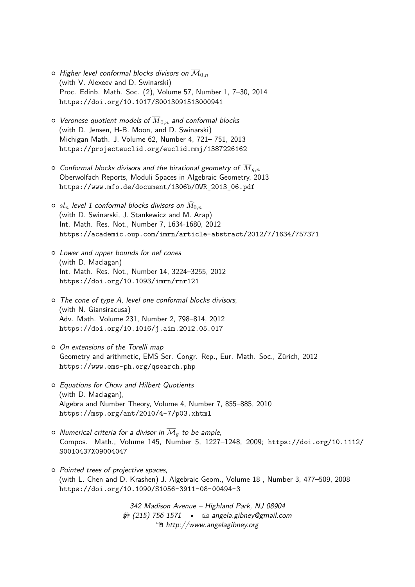- $\circ$  Higher level conformal blocks divisors on  $\overline{\mathcal{M}}_{0,n}$ (with V. Alexeev and D. Swinarski) Proc. Edinb. Math. Soc. (2), Volume 57, Number 1, 7–30, 2014 <https://doi.org/10.1017/S0013091513000941>
- $\circ$  Veronese quotient models of  $\overline{M}_{0,n}$  and conformal blocks (with D. Jensen, H-B. Moon, and D. Swinarski) Michigan Math. J. Volume 62, Number 4, 721– 751, 2013 <https://projecteuclid.org/euclid.mmj/1387226162>
- $\circ$  Conformal blocks divisors and the birational geometry of  $\overline{M}_{g,n}$ Oberwolfach Reports, Moduli Spaces in Algebraic Geometry, 2013 [https://www.mfo.de/document/1306b/OWR\\_2013\\_06.pdf](https://www.mfo.de/document/1306b/OWR_2013_06.pdf)
- $\circ$   $sl_n$  level 1 conformal blocks divisors on  $\bar{M}_{0,n}$ (with D. Swinarski, J. Stankewicz and M. Arap) Int. Math. Res. Not., Number 7, 1634-1680, 2012 <https://academic.oup.com/imrn/article-abstract/2012/7/1634/757371>
- { Lower and upper bounds for nef cones (with D. Maclagan) Int. Math. Res. Not., Number 14, 3224–3255, 2012 <https://doi.org/10.1093/imrn/rnr121>
- $\circ$  The cone of type A, level one conformal blocks divisors, (with N. Giansiracusa) Adv. Math. Volume 231, Number 2, 798–814, 2012 <https://doi.org/10.1016/j.aim.2012.05.017>
- { On extensions of the Torelli map Geometry and arithmetic, EMS Ser. Congr. Rep., Eur. Math. Soc., Zürich, 2012 <https://www.ems-ph.org/qsearch.php>
- $\circ$  Equations for Chow and Hilbert Quotients (with D. Maclagan), Algebra and Number Theory, Volume 4, Number 7, 855–885, 2010 <https://msp.org/ant/2010/4-7/p03.xhtml>
- $\circ$  Numerical criteria for a divisor in  $\overline{\mathcal{M}}_q$  to be ample, Compos. Math., Volume 145, Number 5, 1227–1248, 2009; [https://doi.org/10.1112/](https://doi.org/10.1112/S0010437X09004047) [S0010437X09004047](https://doi.org/10.1112/S0010437X09004047)
- $\circ$  Pointed trees of projective spaces, (with L. Chen and D. Krashen) J. Algebraic Geom., Volume 18 , Number 3, 477–509, 2008 [https://doi.org/10.1090/S1056-3911-08-00494-3](https://doi.org/10.1090/S1056-3911-08-00494-3 )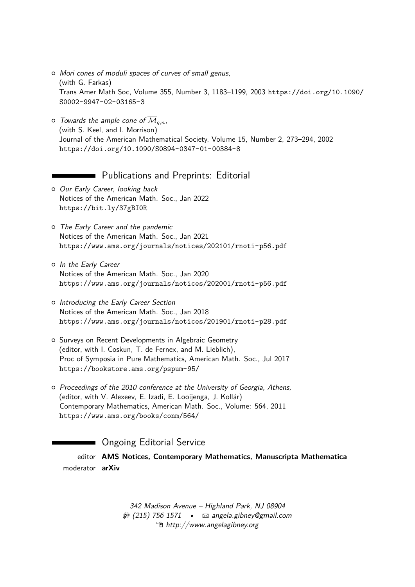- o Mori cones of moduli spaces of curves of small genus, (with G. Farkas) Trans Amer Math Soc, Volume 355, Number 3, 1183–1199, 2003 [https://doi.org/10.1090/](https://doi.org/10.1090/S0002-9947-02-03165-3) [S0002-9947-02-03165-3](https://doi.org/10.1090/S0002-9947-02-03165-3)
- $\circ$  Towards the ample cone of  $\overline{\mathcal{M}}_{g,n}$ , (with S. Keel, and I. Morrison) Journal of the American Mathematical Society, Volume 15, Number 2, 273–294, 2002 <https://doi.org/10.1090/S0894-0347-01-00384-8>

### **Publications and Preprints: Editorial**

- o Our Early Career, looking back Notices of the American Math. Soc., Jan 2022 <https://bit.ly/37gBI0R>
- o The Early Career and the pandemic Notices of the American Math. Soc., Jan 2021 <https://www.ams.org/journals/notices/202101/rnoti-p56.pdf>
- { In the Early Career Notices of the American Math. Soc., Jan 2020 <https://www.ams.org/journals/notices/202001/rnoti-p56.pdf>
- o Introducing the Early Career Section Notices of the American Math. Soc., Jan 2018 <https://www.ams.org/journals/notices/201901/rnoti-p28.pdf>
- { Surveys on Recent Developments in Algebraic Geometry (editor, with I. Coskun, T. de Fernex, and M. Lieblich), Proc of Symposia in Pure Mathematics, American Math. Soc., Jul 2017 <https://bookstore.ams.org/pspum-95/>
- $\circ$  Proceedings of the 2010 conference at the University of Georgia, Athens, (editor, with V. Alexeev, E. Izadi, E. Looijenga, J. Kollár) Contemporary Mathematics, American Math. Soc., Volume: 564, 2011 <https://www.ams.org/books/conm/564/>

# **Commission Company** Ongoing Editorial Service

editor **AMS Notices, Contemporary Mathematics, Manuscripta Mathematica** moderator **arXiv**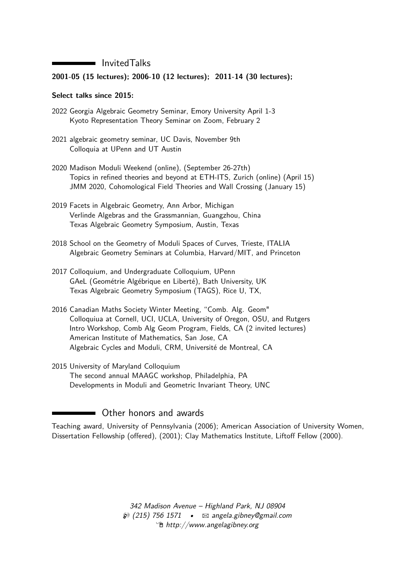### InvitedTalks

#### **2001-05 (15 lectures); 2006-10 (12 lectures); 2011-14 (30 lectures);**

#### **Select talks since 2015:**

- 2022 Georgia Algebraic Geometry Seminar, Emory University April 1-3 Kyoto Representation Theory Seminar on Zoom, February 2
- 2021 algebraic geometry seminar, UC Davis, November 9th Colloquia at UPenn and UT Austin
- 2020 Madison Moduli Weekend (online), (September 26-27th) Topics in refined theories and beyond at ETH-ITS, Zurich (online) (April 15) JMM 2020, Cohomological Field Theories and Wall Crossing (January 15)
- 2019 Facets in Algebraic Geometry, Ann Arbor, Michigan Verlinde Algebras and the Grassmannian, Guangzhou, China Texas Algebraic Geometry Symposium, Austin, Texas
- 2018 School on the Geometry of Moduli Spaces of Curves, Trieste, ITALIA Algebraic Geometry Seminars at Columbia, Harvard/MIT, and Princeton
- 2017 Colloquium, and Undergraduate Colloquium, UPenn GAeL (Geométrie Algébrique en Liberté), Bath University, UK Texas Algebraic Geometry Symposium (TAGS), Rice U, TX,
- 2016 Canadian Maths Society Winter Meeting, "Comb. Alg. Geom" Colloquiua at Cornell, UCI, UCLA, University of Oregon, OSU, and Rutgers Intro Workshop, Comb Alg Geom Program, Fields, CA (2 invited lectures) American Institute of Mathematics, San Jose, CA Algebraic Cycles and Moduli, CRM, Université de Montreal, CA
- 2015 University of Maryland Colloquium The second annual MAAGC workshop, Philadelphia, PA Developments in Moduli and Geometric Invariant Theory, UNC

# **Other honors and awards**

Teaching award, University of Pennsylvania (2006); American Association of University Women, Dissertation Fellowship (offered), (2001); Clay Mathematics Institute, Liftoff Fellow (2000).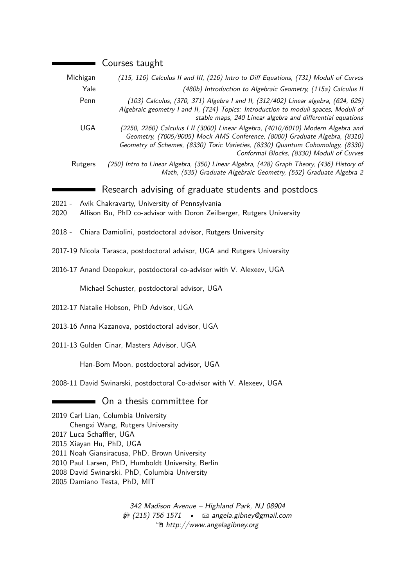|                | Courses taught                                                                                                                                                                                                                                                                                                           |
|----------------|--------------------------------------------------------------------------------------------------------------------------------------------------------------------------------------------------------------------------------------------------------------------------------------------------------------------------|
| Michigan       | (115, 116) Calculus II and III, (216) Intro to Diff Equations, (731) Moduli of Curves                                                                                                                                                                                                                                    |
| Yale           | (480b) Introduction to Algebraic Geometry, (115a) Calculus II                                                                                                                                                                                                                                                            |
| Penn           | (103) Calculus, (370, 371) Algebra I and II, (312/402) Linear algebra, (624, 625)<br>Algebraic geometry I and II, (724) Topics: Introduction to moduli spaces, Moduli of<br>stable maps, 240 Linear algebra and differential equations                                                                                   |
| <b>UGA</b>     | (2250, 2260) Calculus I II (3000) Linear Algebra, (4010/6010) Modern Algebra and<br>Geometry, (7005/9005) Mock AMS Conference, (8000) Graduate Algebra, (8310)<br>Geometry of Schemes, (8330) Toric Varieties, (8330) Quantum Cohomology, (8330)<br>Conformal Blocks, (8330) Moduli of Curves                            |
| Rutgers        | (250) Intro to Linear Algebra, (350) Linear Algebra, (428) Graph Theory, (436) History of<br>Math, (535) Graduate Algebraic Geometry, (552) Graduate Algebra 2                                                                                                                                                           |
|                | Research advising of graduate students and postdocs                                                                                                                                                                                                                                                                      |
| 2021 -<br>2020 | Avik Chakravarty, University of Pennsylvania<br>Allison Bu, PhD co-advisor with Doron Zeilberger, Rutgers University                                                                                                                                                                                                     |
| $2018 -$       | Chiara Damiolini, postdoctoral advisor, Rutgers University                                                                                                                                                                                                                                                               |
|                | 2017-19 Nicola Tarasca, postdoctoral advisor, UGA and Rutgers University                                                                                                                                                                                                                                                 |
|                | 2016-17 Anand Deopokur, postdoctoral co-advisor with V. Alexeev, UGA                                                                                                                                                                                                                                                     |
|                | Michael Schuster, postdoctoral advisor, UGA                                                                                                                                                                                                                                                                              |
|                | 2012-17 Natalie Hobson, PhD Advisor, UGA                                                                                                                                                                                                                                                                                 |
|                | 2013-16 Anna Kazanova, postdoctoral advisor, UGA                                                                                                                                                                                                                                                                         |
|                | 2011-13 Gulden Cinar, Masters Advisor, UGA                                                                                                                                                                                                                                                                               |
|                | Han-Bom Moon, postdoctoral advisor, UGA                                                                                                                                                                                                                                                                                  |
|                | 2008-11 David Swinarski, postdoctoral Co-advisor with V. Alexeev, UGA                                                                                                                                                                                                                                                    |
|                | On a thesis committee for                                                                                                                                                                                                                                                                                                |
|                | 2019 Carl Lian, Columbia University<br>Chengxi Wang, Rutgers University<br>2017 Luca Schaffler, UGA<br>2015 Xiayan Hu, PhD, UGA<br>2011 Noah Giansiracusa, PhD, Brown University<br>2010 Paul Larsen, PhD, Humboldt University, Berlin<br>2008 David Swinarski, PhD, Columbia University<br>2005 Damiano Testa, PhD, MIT |
|                | 342 Madison Avenue - Highland Park, NJ 08904                                                                                                                                                                                                                                                                             |

 $\textcircled{2}$  (215) 756 1571 •  $\boxtimes$  [angela.gibney@gmail.com](mailto:angela.gibney@gmail.com) Í [http://www.angelagibney.org](http://http://www.angelagibney.org)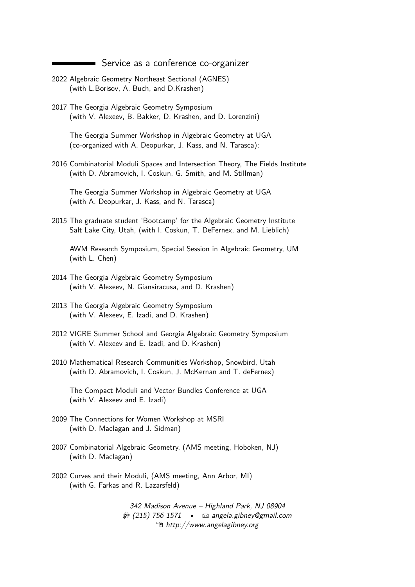Service as a conference co-organizer

- 2022 Algebraic Geometry Northeast Sectional (AGNES) (with L.Borisov, A. Buch, and D.Krashen)
- 2017 The Georgia Algebraic Geometry Symposium (with V. Alexeev, B. Bakker, D. Krashen, and D. Lorenzini)

The Georgia Summer Workshop in Algebraic Geometry at UGA (co-organized with A. Deopurkar, J. Kass, and N. Tarasca);

2016 Combinatorial Moduli Spaces and Intersection Theory, The Fields Institute (with D. Abramovich, I. Coskun, G. Smith, and M. Stillman)

The Georgia Summer Workshop in Algebraic Geometry at UGA (with A. Deopurkar, J. Kass, and N. Tarasca)

2015 The graduate student 'Bootcamp' for the Algebraic Geometry Institute Salt Lake City, Utah, (with I. Coskun, T. DeFernex, and M. Lieblich)

AWM Research Symposium, Special Session in Algebraic Geometry, UM (with L. Chen)

- 2014 The Georgia Algebraic Geometry Symposium (with V. Alexeev, N. Giansiracusa, and D. Krashen)
- 2013 The Georgia Algebraic Geometry Symposium (with V. Alexeev, E. Izadi, and D. Krashen)
- 2012 VIGRE Summer School and Georgia Algebraic Geometry Symposium (with V. Alexeev and E. Izadi, and D. Krashen)
- 2010 Mathematical Research Communities Workshop, Snowbird, Utah (with D. Abramovich, I. Coskun, J. McKernan and T. deFernex)

The Compact Moduli and Vector Bundles Conference at UGA (with V. Alexeev and E. Izadi)

- 2009 The Connections for Women Workshop at MSRI (with D. Maclagan and J. Sidman)
- 2007 Combinatorial Algebraic Geometry, (AMS meeting, Hoboken, NJ) (with D. Maclagan)
- 2002 Curves and their Moduli, (AMS meeting, Ann Arbor, MI) (with G. Farkas and R. Lazarsfeld)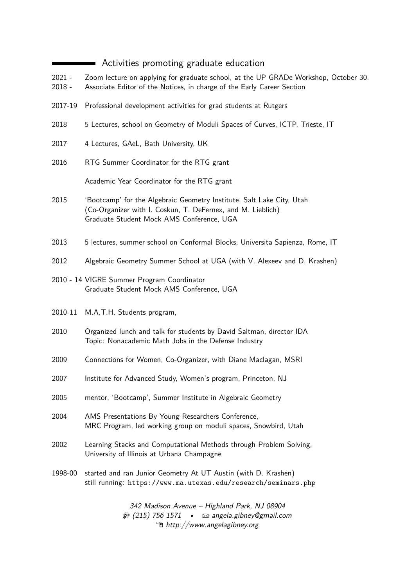# Activities promoting graduate education

- 2021 Zoom lecture on applying for graduate school, at the UP GRADe Workshop, October 30.
- 2018 Associate Editor of the Notices, in charge of the Early Career Section
- 2017-19 Professional development activities for grad students at Rutgers
- 2018 5 Lectures, school on Geometry of Moduli Spaces of Curves, ICTP, Trieste, IT
- 2017 4 Lectures, GAeL, Bath University, UK
- 2016 RTG Summer Coordinator for the RTG grant

Academic Year Coordinator for the RTG grant

- 2015 'Bootcamp' for the Algebraic Geometry Institute, Salt Lake City, Utah (Co-Organizer with I. Coskun, T. DeFernex, and M. Lieblich) Graduate Student Mock AMS Conference, UGA
- 2013 5 lectures, summer school on Conformal Blocks, Universita Sapienza, Rome, IT
- 2012 Algebraic Geometry Summer School at UGA (with V. Alexeev and D. Krashen)
- 2010 14 VIGRE Summer Program Coordinator Graduate Student Mock AMS Conference, UGA
- 2010-11 M.A.T.H. Students program,
- 2010 Organized lunch and talk for students by David Saltman, director IDA Topic: Nonacademic Math Jobs in the Defense Industry
- 2009 Connections for Women, Co-Organizer, with Diane Maclagan, MSRI
- 2007 Institute for Advanced Study, Women's program, Princeton, NJ
- 2005 mentor, 'Bootcamp', Summer Institute in Algebraic Geometry
- 2004 AMS Presentations By Young Researchers Conference, MRC Program, led working group on moduli spaces, Snowbird, Utah
- 2002 Learning Stacks and Computational Methods through Problem Solving, University of Illinois at Urbana Champagne
- 1998-00 started and ran Junior Geometry At UT Austin (with D. Krashen) still running: <https://www.ma.utexas.edu/research/seminars.php>